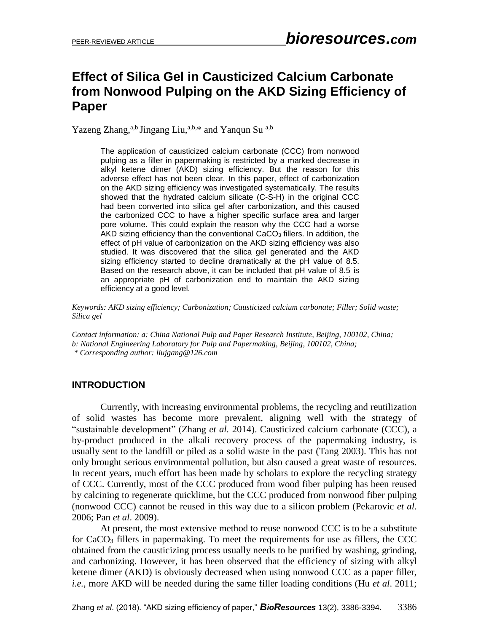# **Effect of Silica Gel in Causticized Calcium Carbonate from Nonwood Pulping on the AKD Sizing Efficiency of Paper**

Yazeng Zhang,<sup>a,b</sup> Jingang Liu,<sup>a,b,\*</sup> and Yanqun Su<sup>a,b</sup>

The application of causticized calcium carbonate (CCC) from nonwood pulping as a filler in papermaking is restricted by a marked decrease in alkyl ketene dimer (AKD) sizing efficiency. But the reason for this adverse effect has not been clear. In this paper, effect of carbonization on the AKD sizing efficiency was investigated systematically. The results showed that the hydrated calcium silicate (C-S-H) in the original CCC had been converted into silica gel after carbonization, and this caused the carbonized CCC to have a higher specific surface area and larger pore volume. This could explain the reason why the CCC had a worse AKD sizing efficiency than the conventional CaCO<sub>3</sub> fillers. In addition, the effect of pH value of carbonization on the AKD sizing efficiency was also studied. It was discovered that the silica gel generated and the AKD sizing efficiency started to decline dramatically at the pH value of 8.5. Based on the research above, it can be included that pH value of 8.5 is an appropriate pH of carbonization end to maintain the AKD sizing efficiency at a good level.

*Keywords: AKD sizing efficiency; Carbonization; Causticized calcium carbonate; Filler; Solid waste; Silica gel*

*Contact information: a: China National Pulp and Paper Research Institute, Beijing, 100102, China; b: National Engineering Laboratory for Pulp and Papermaking, Beijing, 100102, China; \* Corresponding author[: liujgang@126.com](mailto:liujgang@126.com)*

## **INTRODUCTION**

Currently, with increasing environmental problems, the recycling and reutilization of solid wastes has become more prevalent, aligning well with the strategy of "sustainable development" (Zhang *et al.* 2014). Causticized calcium carbonate (CCC), a by-product produced in the alkali recovery process of the papermaking industry, is usually sent to the landfill or piled as a solid waste in the past (Tang 2003). This has not only brought serious environmental pollution, but also caused a great waste of resources. In recent years, much effort has been made by scholars to explore the recycling strategy of CCC. Currently, most of the CCC produced from wood fiber pulping has been reused by calcining to regenerate quicklime, but the CCC produced from nonwood fiber pulping (nonwood CCC) cannot be reused in this way due to a silicon problem (Pekarovic *et al*. 2006; Pan *et al*. 2009).

At present, the most extensive method to reuse nonwood CCC is to be a substitute for CaCO<sub>3</sub> fillers in papermaking. To meet the requirements for use as fillers, the CCC obtained from the causticizing process usually needs to be purified by washing, grinding, and carbonizing. However, it has been observed that the efficiency of sizing with alkyl ketene dimer (AKD) is obviously decreased when using nonwood CCC as a paper filler, *i.e.*, more AKD will be needed during the same filler loading conditions (Hu *et al*. 2011;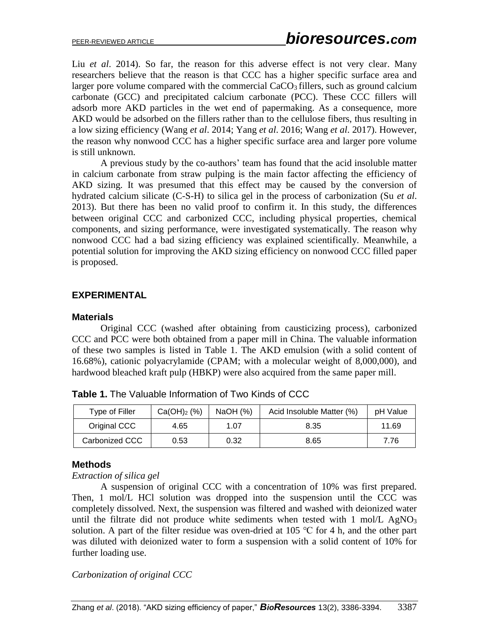Liu *et al*. 2014). So far, the reason for this adverse effect is not very clear. Many researchers believe that the reason is that CCC has a higher specific surface area and larger pore volume compared with the commercial  $CaCO<sub>3</sub>$  fillers, such as ground calcium carbonate (GCC) and precipitated calcium carbonate (PCC). These CCC fillers will adsorb more AKD particles in the wet end of papermaking. As a consequence, more AKD would be adsorbed on the fillers rather than to the cellulose fibers, thus resulting in a low sizing efficiency (Wang *et al*. 2014; Yang *et al*. 2016; Wang *et al*. 2017). However, the reason why nonwood CCC has a higher specific surface area and larger pore volume is still unknown.

A previous study by the co-authors' team has found that the acid insoluble matter in calcium carbonate from straw pulping is the main factor affecting the efficiency of AKD sizing. It was presumed that this effect may be caused by the conversion of hydrated calcium silicate (C-S-H) to silica gel in the process of carbonization (Su *et al*. 2013). But there has been no valid proof to confirm it. In this study, the differences between original CCC and carbonized CCC, including physical properties, chemical components, and sizing performance, were investigated systematically. The reason why nonwood CCC had a bad sizing efficiency was explained scientifically. Meanwhile, a potential solution for improving the AKD sizing efficiency on nonwood CCC filled paper is proposed.

## **EXPERIMENTAL**

#### **Materials**

Original CCC (washed after obtaining from causticizing process), carbonized CCC and PCC were both obtained from a paper mill in China. The valuable information of these two samples is listed in Table 1. The AKD emulsion (with a solid content of 16.68%), cationic polyacrylamide (CPAM; with a molecular weight of 8,000,000), and hardwood bleached kraft pulp (HBKP) were also acquired from the same paper mill.

| Type of Filler | Ca(OH) <sub>2</sub> (%) | NaOH (%)<br>Acid Insoluble Matter (%) |      | pH Value |
|----------------|-------------------------|---------------------------------------|------|----------|
| Original CCC   | 4.65                    | 1.07                                  | 8.35 | 11.69    |
| Carbonized CCC | 0.53                    | 0.32                                  | 8.65 | 7.76     |

**Table 1.** The Valuable Information of Two Kinds of CCC

#### **Methods**

*Extraction of silica gel*

A suspension of original CCC with a concentration of 10% was first prepared. Then, 1 mol/L HCl solution was dropped into the suspension until the CCC was completely dissolved. Next, the suspension was filtered and washed with deionized water until the filtrate did not produce white sediments when tested with  $1 \text{ mol/L }$  AgNO<sub>3</sub> solution. A part of the filter residue was oven-dried at 105 ℃ for 4 h, and the other part was diluted with deionized water to form a suspension with a solid content of 10% for further loading use.

*Carbonization of original CCC*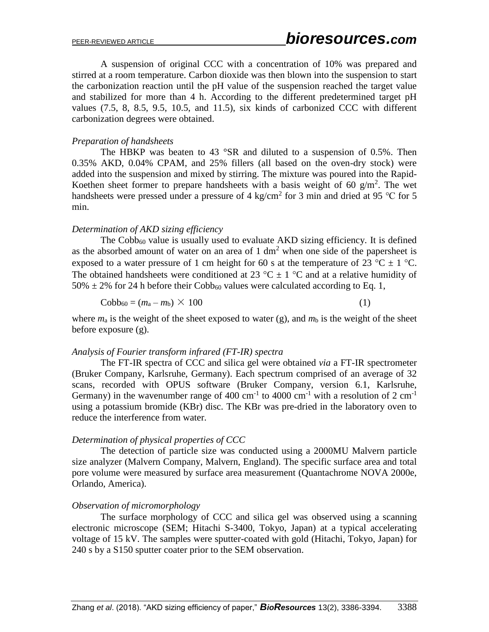A suspension of original CCC with a concentration of 10% was prepared and stirred at a room temperature. Carbon dioxide was then blown into the suspension to start the carbonization reaction until the pH value of the suspension reached the target value and stabilized for more than 4 h. According to the different predetermined target pH values (7.5, 8, 8.5, 9.5, 10.5, and 11.5), six kinds of carbonized CCC with different carbonization degrees were obtained.

#### *Preparation of handsheets*

The HBKP was beaten to 43  $\textdegree$ SR and diluted to a suspension of 0.5%. Then 0.35% AKD, 0.04% CPAM, and 25% fillers (all based on the oven-dry stock) were added into the suspension and mixed by stirring. The mixture was poured into the Rapid-Koethen sheet former to prepare handsheets with a basis weight of 60  $g/m<sup>2</sup>$ . The wet handsheets were pressed under a pressure of 4 kg/cm<sup>2</sup> for 3 min and dried at 95 °C for 5 min.

#### *Determination of AKD sizing efficiency*

The  $Cobb<sub>60</sub>$  value is usually used to evaluate AKD sizing efficiency. It is defined as the absorbed amount of water on an area of  $1 \text{ dm}^2$  when one side of the papersheet is exposed to a water pressure of 1 cm height for 60 s at the temperature of 23 °C  $\pm$  1 °C. The obtained handsheets were conditioned at 23 °C  $\pm$  1 °C and at a relative humidity of  $50\% \pm 2\%$  for 24 h before their Cobb<sub>60</sub> values were calculated according to Eq. 1,

$$
Cobb_{60} = (m_a - m_b) \times 100 \tag{1}
$$

where  $m_a$  is the weight of the sheet exposed to water (g), and  $m_b$  is the weight of the sheet before exposure (g).

#### *Analysis of Fourier transform infrared (FT-IR) spectra*

The FT-IR spectra of CCC and silica gel were obtained *via* a FT-IR spectrometer (Bruker Company, Karlsruhe, Germany). Each spectrum comprised of an average of 32 scans, recorded with OPUS software (Bruker Company, version 6.1, Karlsruhe, Germany) in the wavenumber range of 400 cm<sup>-1</sup> to 4000 cm<sup>-1</sup> with a resolution of 2 cm<sup>-1</sup> using a potassium bromide (KBr) disc. The KBr was pre-dried in the laboratory oven to reduce the interference from water.

#### *Determination of physical properties of CCC*

The detection of particle size was conducted using a 2000MU Malvern particle size analyzer (Malvern Company, Malvern, England). The specific surface area and total pore volume were measured by surface area measurement (Quantachrome NOVA 2000e, Orlando, America).

#### *Observation of micromorphology*

The surface morphology of CCC and silica gel was observed using a scanning electronic microscope (SEM; Hitachi S-3400, Tokyo, Japan) at a typical accelerating voltage of 15 kV. The samples were sputter-coated with gold (Hitachi, Tokyo, Japan) for 240 s by a S150 sputter coater prior to the SEM observation.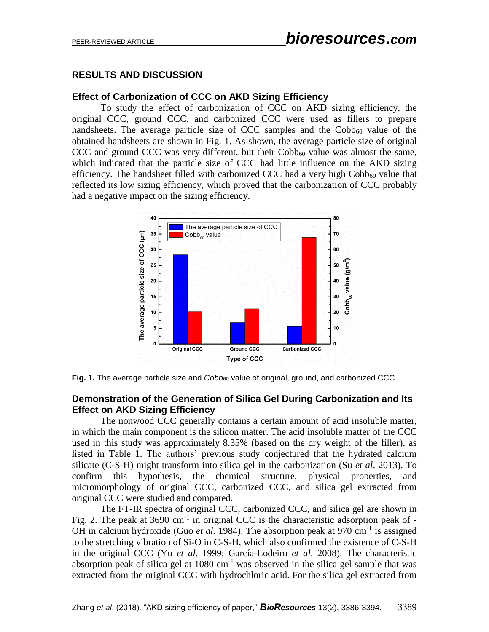# **RESULTS AND DISCUSSION**

# **Effect of Carbonization of CCC on AKD Sizing Efficiency**

To study the effect of carbonization of CCC on AKD sizing efficiency, the original CCC, ground CCC, and carbonized CCC were used as fillers to prepare handsheets. The average particle size of CCC samples and the  $Cobb_{60}$  value of the obtained handsheets are shown in Fig. 1. As shown, the average particle size of original CCC and ground CCC was very different, but their  $Cobb_{60}$  value was almost the same, which indicated that the particle size of CCC had little influence on the AKD sizing efficiency. The handsheet filled with carbonized CCC had a very high  $Cobb<sub>60</sub>$  value that reflected its low sizing efficiency, which proved that the carbonization of CCC probably had a negative impact on the sizing efficiency.



Fig. 1. The average particle size and *Cobb*<sub>60</sub> value of original, ground, and carbonized CCC

## **Demonstration of the Generation of Silica Gel During Carbonization and Its Effect on AKD Sizing Efficiency**

The nonwood CCC generally contains a certain amount of acid insoluble matter, in which the main component is the silicon matter. The acid insoluble matter of the CCC used in this study was approximately 8.35% (based on the dry weight of the filler), as listed in Table 1. The authors' previous study conjectured that the hydrated calcium silicate (C-S-H) might transform into silica gel in the carbonization (Su *et al*. 2013). To confirm this hypothesis, the chemical structure, physical properties, and micromorphology of original CCC, carbonized CCC, and silica gel extracted from original CCC were studied and compared.

The FT-IR spectra of original CCC, carbonized CCC, and silica gel are shown in Fig. 2. The peak at 3690  $cm^{-1}$  in original CCC is the characteristic adsorption peak of -OH in calcium hydroxide (Guo *et al.* 1984). The absorption peak at 970 cm<sup>-1</sup> is assigned to the stretching vibration of Si-O in C-S-H, which also confirmed the existence of C-S-H in the original CCC (Yu *et al*. 1999; García-Lodeiro *et al*. 2008). The characteristic absorption peak of silica gel at  $1080 \text{ cm}^{-1}$  was observed in the silica gel sample that was extracted from the original CCC with hydrochloric acid. For the silica gel extracted from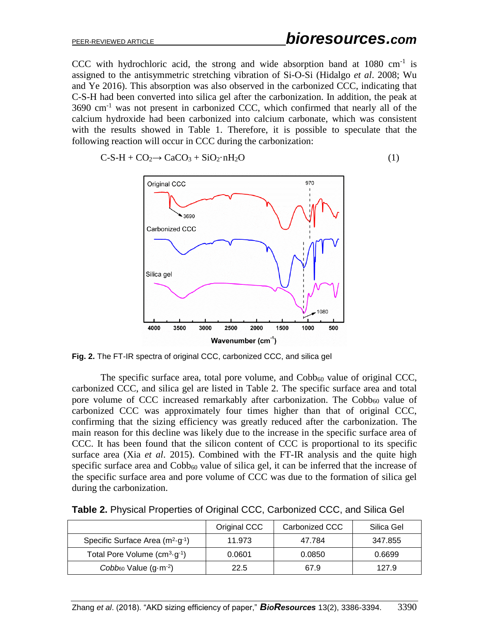CCC with hydrochloric acid, the strong and wide absorption band at  $1080 \text{ cm}^{-1}$  is assigned to the antisymmetric stretching vibration of Si-O-Si (Hidalgo *et al*. 2008; Wu and Ye 2016). This absorption was also observed in the carbonized CCC, indicating that C-S-H had been converted into silica gel after the carbonization. In addition, the peak at  $3690 \text{ cm}^{-1}$  was not present in carbonized CCC, which confirmed that nearly all of the calcium hydroxide had been carbonized into calcium carbonate, which was consistent with the results showed in Table 1. Therefore, it is possible to speculate that the following reaction will occur in CCC during the carbonization:

$$
C-S-H + CO2 \rightarrow CaCO3 + SiO2·nH2O
$$
 (1)



**Fig. 2.** The FT-IR spectra of original CCC, carbonized CCC, and silica gel

The specific surface area, total pore volume, and  $Cobb<sub>60</sub>$  value of original CCC, carbonized CCC, and silica gel are listed in Table 2. The specific surface area and total pore volume of CCC increased remarkably after carbonization. The Cobb $_{60}$  value of carbonized CCC was approximately four times higher than that of original CCC, confirming that the sizing efficiency was greatly reduced after the carbonization. The main reason for this decline was likely due to the increase in the specific surface area of CCC. It has been found that the silicon content of CCC is proportional to its specific surface area (Xia *et al*. 2015). Combined with the FT-IR analysis and the quite high specific surface area and  $Cobb_{60}$  value of silica gel, it can be inferred that the increase of the specific surface area and pore volume of CCC was due to the formation of silica gel during the carbonization.

|                                            | Original CCC | Carbonized CCC | Silica Gel |
|--------------------------------------------|--------------|----------------|------------|
| Specific Surface Area $(m^2 \cdot g^{-1})$ | 11.973       | 47.784         | 347.855    |
| Total Pore Volume $(cm3·g-1)$              | 0.0601       | 0.0850         | 0.6699     |
| $Cobb_{60}$ Value $(g·m-2)$                | 22.5         | 67.9           | 127.9      |

| Table 2. Physical Properties of Original CCC, Carbonized CCC, and Silica Gel |
|------------------------------------------------------------------------------|
|------------------------------------------------------------------------------|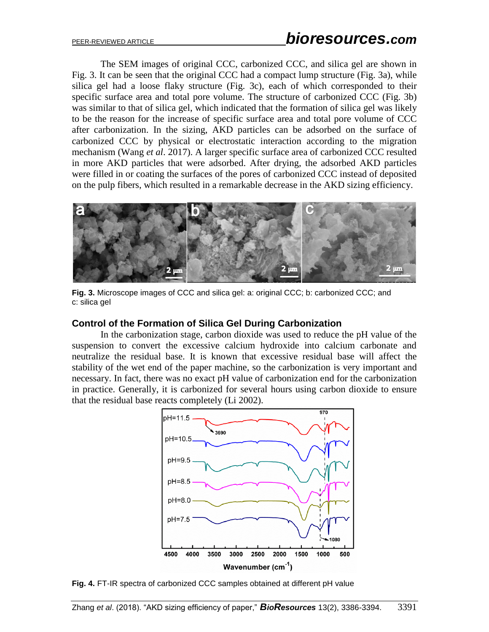The SEM images of original CCC, carbonized CCC, and silica gel are shown in Fig. 3. It can be seen that the original CCC had a compact lump structure (Fig. 3a), while silica gel had a loose flaky structure (Fig. 3c), each of which corresponded to their specific surface area and total pore volume. The structure of carbonized CCC (Fig. 3b) was similar to that of silica gel, which indicated that the formation of silica gel was likely to be the reason for the increase of specific surface area and total pore volume of CCC after carbonization. In the sizing, AKD particles can be adsorbed on the surface of carbonized CCC by physical or electrostatic interaction according to the migration mechanism (Wang *et al*. 2017). A larger specific surface area of carbonized CCC resulted in more AKD particles that were adsorbed. After drying, the adsorbed AKD particles were filled in or coating the surfaces of the pores of carbonized CCC instead of deposited on the pulp fibers, which resulted in a remarkable decrease in the AKD sizing efficiency.



**Fig. 3.** Microscope images of CCC and silica gel: a: original CCC; b: carbonized CCC; and c: silica gel

## **Control of the Formation of Silica Gel During Carbonization**

In the carbonization stage, carbon dioxide was used to reduce the pH value of the suspension to convert the excessive calcium hydroxide into calcium carbonate and neutralize the residual base. It is known that excessive residual base will affect the stability of the wet end of the paper machine, so the carbonization is very important and necessary. In fact, there was no exact pH value of carbonization end for the carbonization in practice. Generally, it is carbonized for several hours using carbon dioxide to ensure that the residual base reacts completely (Li 2002).



**Fig. 4.** FT-IR spectra of carbonized CCC samples obtained at different pH value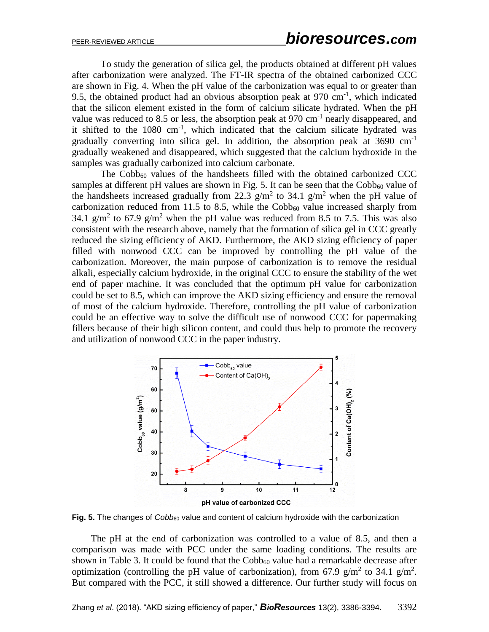To study the generation of silica gel, the products obtained at different pH values after carbonization were analyzed. The FT-IR spectra of the obtained carbonized CCC are shown in Fig. 4. When the pH value of the carbonization was equal to or greater than 9.5, the obtained product had an obvious absorption peak at  $970 \text{ cm}^{-1}$ , which indicated that the silicon element existed in the form of calcium silicate hydrated. When the pH value was reduced to 8.5 or less, the absorption peak at 970 cm<sup>-1</sup> nearly disappeared, and it shifted to the  $1080 \text{ cm}^{-1}$ , which indicated that the calcium silicate hydrated was gradually converting into silica gel. In addition, the absorption peak at  $3690 \text{ cm}^{-1}$ gradually weakened and disappeared, which suggested that the calcium hydroxide in the samples was gradually carbonized into calcium carbonate.

The Cobb<sub>60</sub> values of the handsheets filled with the obtained carbonized CCC samples at different pH values are shown in Fig. 5. It can be seen that the  $Cobb<sub>60</sub>$  value of the handsheets increased gradually from 22.3  $g/m^2$  to 34.1  $g/m^2$  when the pH value of carbonization reduced from 11.5 to 8.5, while the  $Cobb<sub>60</sub>$  value increased sharply from 34.1 g/m<sup>2</sup> to 67.9 g/m<sup>2</sup> when the pH value was reduced from 8.5 to 7.5. This was also consistent with the research above, namely that the formation of silica gel in CCC greatly reduced the sizing efficiency of AKD. Furthermore, the AKD sizing efficiency of paper filled with nonwood CCC can be improved by controlling the pH value of the carbonization. Moreover, the main purpose of carbonization is to remove the residual alkali, especially calcium hydroxide, in the original CCC to ensure the stability of the wet end of paper machine. It was concluded that the optimum pH value for carbonization could be set to 8.5, which can improve the AKD sizing efficiency and ensure the removal of most of the calcium hydroxide. Therefore, controlling the pH value of carbonization could be an effective way to solve the difficult use of nonwood CCC for papermaking fillers because of their high silicon content, and could thus help to promote the recovery and utilization of nonwood CCC in the paper industry.



Fig. 5. The changes of *Cobb*<sub>60</sub> value and content of calcium hydroxide with the carbonization

The pH at the end of carbonization was controlled to a value of 8.5, and then a comparison was made with PCC under the same loading conditions. The results are shown in Table 3. It could be found that the  $Cobb_{60}$  value had a remarkable decrease after optimization (controlling the pH value of carbonization), from 67.9 g/m<sup>2</sup> to 34.1 g/m<sup>2</sup>. But compared with the PCC, it still showed a difference. Our further study will focus on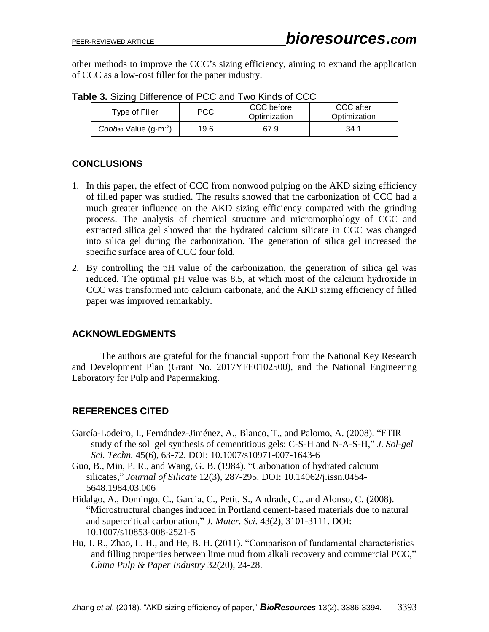other methods to improve the CCC's sizing efficiency, aiming to expand the application of CCC as a low-cost filler for the paper industry.

| Type of Filler              | <b>PCC</b> | CCC before<br>Optimization | CCC after<br>Optimization |  |
|-----------------------------|------------|----------------------------|---------------------------|--|
| $Cobb_{60}$ Value $(g·m-2)$ | 19.6       | 67.9                       | 34.1                      |  |

**Table 3.** Sizing Difference of PCC and Two Kinds of CCC

# **CONCLUSIONS**

- 1. In this paper, the effect of CCC from nonwood pulping on the AKD sizing efficiency of filled paper was studied. The results showed that the carbonization of CCC had a much greater influence on the AKD sizing efficiency compared with the grinding process. The analysis of chemical structure and micromorphology of CCC and extracted silica gel showed that the hydrated calcium silicate in CCC was changed into silica gel during the carbonization. The generation of silica gel increased the specific surface area of CCC four fold.
- 2. By controlling the pH value of the carbonization, the generation of silica gel was reduced. The optimal pH value was 8.5, at which most of the calcium hydroxide in CCC was transformed into calcium carbonate, and the AKD sizing efficiency of filled paper was improved remarkably.

# **ACKNOWLEDGMENTS**

The authors are grateful for the financial support from the National Key Research and Development Plan (Grant No. 2017YFE0102500), and the National Engineering Laboratory for Pulp and Papermaking.

# **REFERENCES CITED**

- García-Lodeiro, I., Fernández-Jiménez, A., Blanco, T., and Palomo, A. (2008). "FTIR study of the sol–gel synthesis of cementitious gels: C-S-H and N-A-S-H," *J. Sol-gel Sci. Techn.* 45(6), 63-72. DOI: 10.1007/s10971-007-1643-6
- Guo, B., Min, P. R., and Wang, G. B. (1984). "Carbonation of hydrated calcium silicates," *Journal of Silicate* 12(3), 287-295. DOI: 10.14062/j.issn.0454- 5648.1984.03.006
- Hidalgo, A., Domingo, C., Garcia, C., Petit, S., Andrade, C., and Alonso, C. (2008). "Microstructural changes induced in Portland cement-based materials due to natural and supercritical carbonation," *J. Mater. Sci.* 43(2), 3101-3111. DOI: 10.1007/s10853-008-2521-5
- Hu, J. R., Zhao, L. H., and He, B. H. (2011). "Comparison of fundamental characteristics and filling properties between lime mud from alkali recovery and commercial PCC," *China Pulp & Paper Industry* 32(20), 24-28.